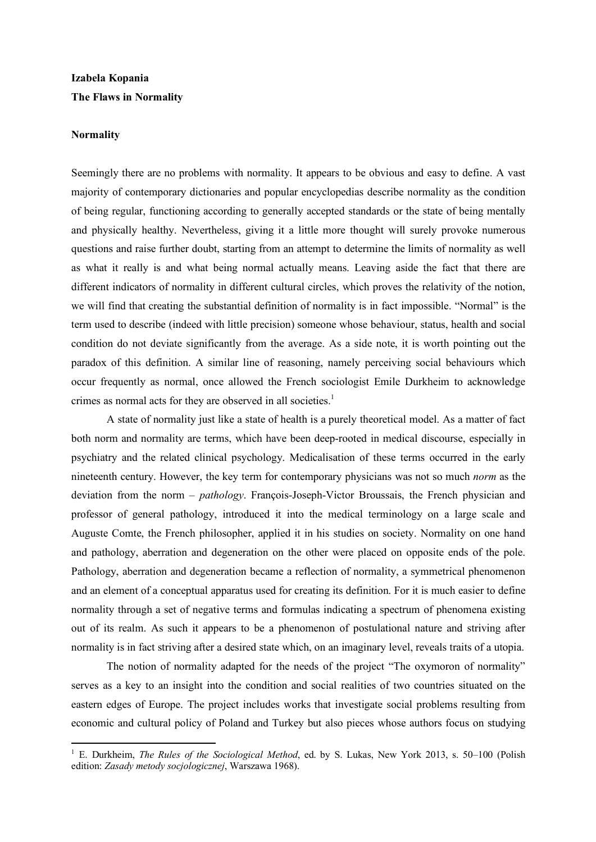# **Izabela Kopania The Flaws in Normality**

#### **Normality**

<u>.</u>

Seemingly there are no problems with normality. It appears to be obvious and easy to define. A vast majority of contemporary dictionaries and popular encyclopedias describe normality as the condition of being regular, functioning according to generally accepted standards or the state of being mentally and physically healthy. Nevertheless, giving it a little more thought will surely provoke numerous questions and raise further doubt, starting from an attempt to determine the limits of normality as well as what it really is and what being normal actually means. Leaving aside the fact that there are different indicators of normality in different cultural circles, which proves the relativity of the notion, we will find that creating the substantial definition of normality is in fact impossible. "Normal" is the term used to describe (indeed with little precision) someone whose behaviour, status, health and social condition do not deviate significantly from the average. As a side note, it is worth pointing out the paradox of this definition. A similar line of reasoning, namely perceiving social behaviours which occur frequently as normal, once allowed the French sociologist Emile Durkheim to acknowledge crimes as normal acts for they are observed in all societies. 1

A state of normality just like a state of health is a purely theoretical model. As a matter of fact both norm and normality are terms, which have been deep-rooted in medical discourse, especially in psychiatry and the related clinical psychology. Medicalisation of these terms occurred in the early nineteenth century. However, the key term for contemporary physicians was not so much *norm* as the deviation from the norm – *pathology*. François-Joseph-Victor Broussais, the French physician and professor of general pathology, introduced it into the medical terminology on a large scale and Auguste Comte, the French philosopher, applied it in his studies on society. Normality on one hand and pathology, aberration and degeneration on the other were placed on opposite ends of the pole. Pathology, aberration and degeneration became a reflection of normality, a symmetrical phenomenon and an element of a conceptual apparatus used for creating its definition. For it is much easier to define normality through a set of negative terms and formulas indicating a spectrum of phenomena existing out of its realm. As such it appears to be a phenomenon of postulational nature and striving after normality is in fact striving after a desired state which, on an imaginary level, reveals traits of a utopia.

The notion of normality adapted for the needs of the project "The oxymoron of normality" serves as a key to an insight into the condition and social realities of two countries situated on the eastern edges of Europe. The project includes works that investigate social problems resulting from economic and cultural policy of Poland and Turkey but also pieces whose authors focus on studying

<sup>1</sup> E. Durkheim, *The Rules of the Sociological Method*, ed. by S. Lukas, New York 2013, s. 50–100 (Polish edition: *Zasady metody socjologicznej*, Warszawa 1968).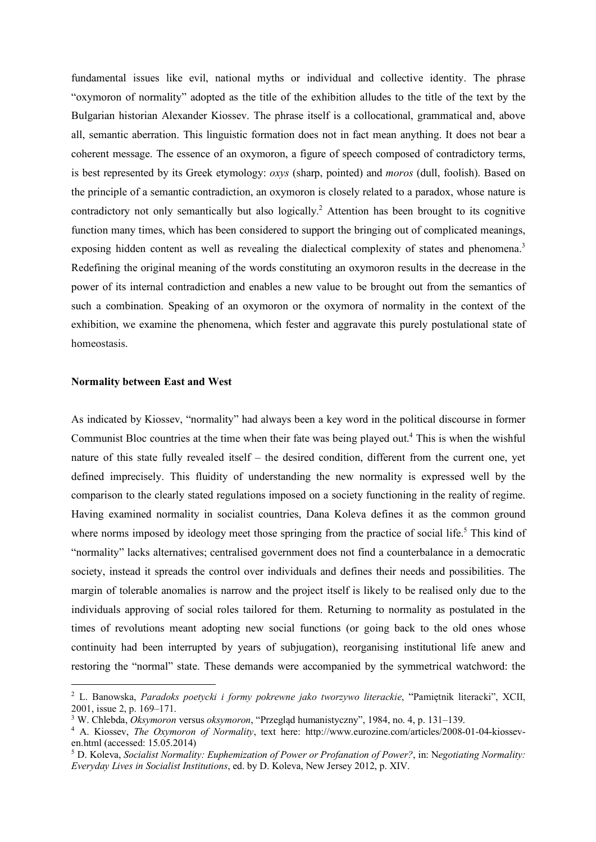fundamental issues like evil, national myths or individual and collective identity. The phrase "oxymoron of normality" adopted as the title of the exhibition alludes to the title of the text by the Bulgarian historian Alexander Kiossev. The phrase itself is a collocational, grammatical and, above all, semantic aberration. This linguistic formation does not in fact mean anything. It does not bear a coherent message. The essence of an oxymoron, a figure of speech composed of contradictory terms, is best represented by its Greek etymology: *oxys* (sharp, pointed) and *moros* (dull, foolish). Based on the principle of a semantic contradiction, an oxymoron is closely related to a paradox, whose nature is contradictory not only semantically but also logically.<sup>2</sup> Attention has been brought to its cognitive function many times, which has been considered to support the bringing out of complicated meanings, exposing hidden content as well as revealing the dialectical complexity of states and phenomena.<sup>3</sup> Redefining the original meaning of the words constituting an oxymoron results in the decrease in the power of its internal contradiction and enables a new value to be brought out from the semantics of such a combination. Speaking of an oxymoron or the oxymora of normality in the context of the exhibition, we examine the phenomena, which fester and aggravate this purely postulational state of homeostasis.

#### **Normality between East and West**

**.** 

As indicated by Kiossev, "normality" had always been a key word in the political discourse in former Communist Bloc countries at the time when their fate was being played out. <sup>4</sup> This is when the wishful nature of this state fully revealed itself – the desired condition, different from the current one, yet defined imprecisely. This fluidity of understanding the new normality is expressed well by the comparison to the clearly stated regulations imposed on a society functioning in the reality of regime. Having examined normality in socialist countries, Dana Koleva defines it as the common ground where norms imposed by ideology meet those springing from the practice of social life.<sup>5</sup> This kind of "normality" lacks alternatives; centralised government does not find a counterbalance in a democratic society, instead it spreads the control over individuals and defines their needs and possibilities. The margin of tolerable anomalies is narrow and the project itself is likely to be realised only due to the individuals approving of social roles tailored for them. Returning to normality as postulated in the times of revolutions meant adopting new social functions (or going back to the old ones whose continuity had been interrupted by years of subjugation), reorganising institutional life anew and restoring the "normal" state. These demands were accompanied by the symmetrical watchword: the

<sup>2</sup> L. Banowska, *Paradoks poetycki i formy pokrewne jako tworzywo literackie*, "Pamiętnik literacki", XCII, 2001, issue 2, p. 169–171.

<sup>3</sup> W. Chlebda, *Oksymoron* versus *oksymoron*, "Przegląd humanistyczny", 1984, no. 4, p. 131–139.

<sup>4</sup> A. Kiossev, *The Oxymoron of Normality*, text here: http://www.eurozine.com/articles/2008-01-04-kiosseven.html (accessed: 15.05.2014)

<sup>5</sup> D. Koleva, *Socialist Normality: Euphemization of Power or Profanation of Power?*, in: N*egotiating Normality: Everyday Lives in Socialist Institutions*, ed. by D. Koleva, New Jersey 2012, p. XIV.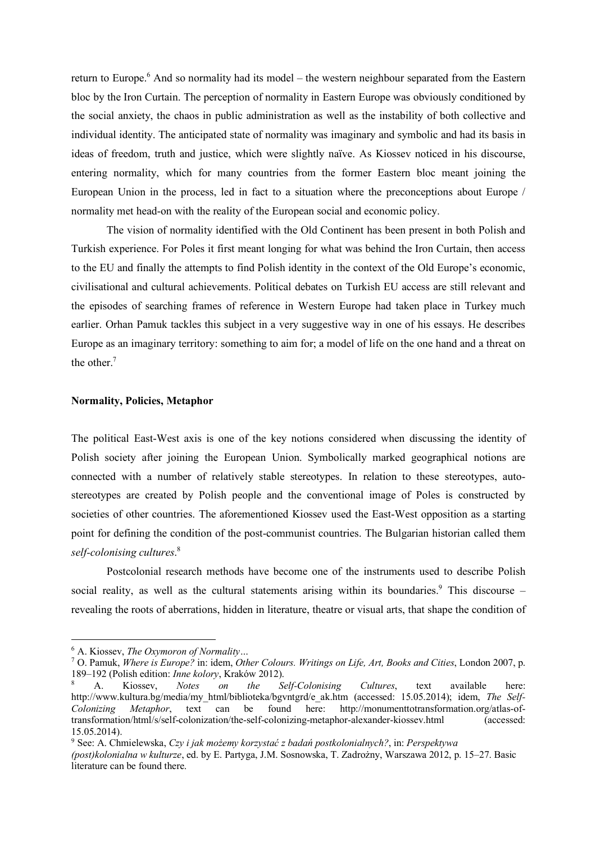return to Europe.<sup>6</sup> And so normality had its model – the western neighbour separated from the Eastern bloc by the Iron Curtain. The perception of normality in Eastern Europe was obviously conditioned by the social anxiety, the chaos in public administration as well as the instability of both collective and individual identity. The anticipated state of normality was imaginary and symbolic and had its basis in ideas of freedom, truth and justice, which were slightly naïve. As Kiossev noticed in his discourse, entering normality, which for many countries from the former Eastern bloc meant joining the European Union in the process, led in fact to a situation where the preconceptions about Europe / normality met head-on with the reality of the European social and economic policy.

The vision of normality identified with the Old Continent has been present in both Polish and Turkish experience. For Poles it first meant longing for what was behind the Iron Curtain, then access to the EU and finally the attempts to find Polish identity in the context of the Old Europe's economic, civilisational and cultural achievements. Political debates on Turkish EU access are still relevant and the episodes of searching frames of reference in Western Europe had taken place in Turkey much earlier. Orhan Pamuk tackles this subject in a very suggestive way in one of his essays. He describes Europe as an imaginary territory: something to aim for; a model of life on the one hand and a threat on the other. 7

# **Normality, Policies, Metaphor**

The political East-West axis is one of the key notions considered when discussing the identity of Polish society after joining the European Union. Symbolically marked geographical notions are connected with a number of relatively stable stereotypes. In relation to these stereotypes, autostereotypes are created by Polish people and the conventional image of Poles is constructed by societies of other countries. The aforementioned Kiossev used the East-West opposition as a starting point for defining the condition of the post-communist countries. The Bulgarian historian called them *self-colonising cultures*. 8

Postcolonial research methods have become one of the instruments used to describe Polish social reality, as well as the cultural statements arising within its boundaries.<sup>9</sup> This discourse revealing the roots of aberrations, hidden in literature, theatre or visual arts, that shape the condition of

<u>.</u>

<sup>9</sup> See: A. Chmielewska, *Czy i jak możemy korzystać z badań postkolonialnych?*, in: *Perspektywa* 

<sup>6</sup> A. Kiossev, *The Oxymoron of Normality…*

<sup>7</sup> O. Pamuk, *Where is Europe?* in: idem, *Other Colours. Writings on Life, Art, Books and Cities*, London 2007, p. 189–192 (Polish edition: *Inne kolory*, Kraków 2012). 8 A. Kiossev, *Notes on the Self-Colonising Cultures*, text available here:

http://www.kultura.bg/media/my\_html/biblioteka/bgvntgrd/e\_ak.htm (accessed: 15.05.2014); idem, *The Self-Colonizing Metaphor*, text can be found here: http://monumenttotransformation.org/atlas-oftransformation/html/s/self-colonization/the-self-colonizing-metaphor-alexander-kiossev.html (accessed: 15.05.2014).

*<sup>(</sup>post)kolonialna w kulturze*, ed. by E. Partyga, J.M. Sosnowska, T. Zadrożny, Warszawa 2012, p. 15–27. Basic literature can be found there.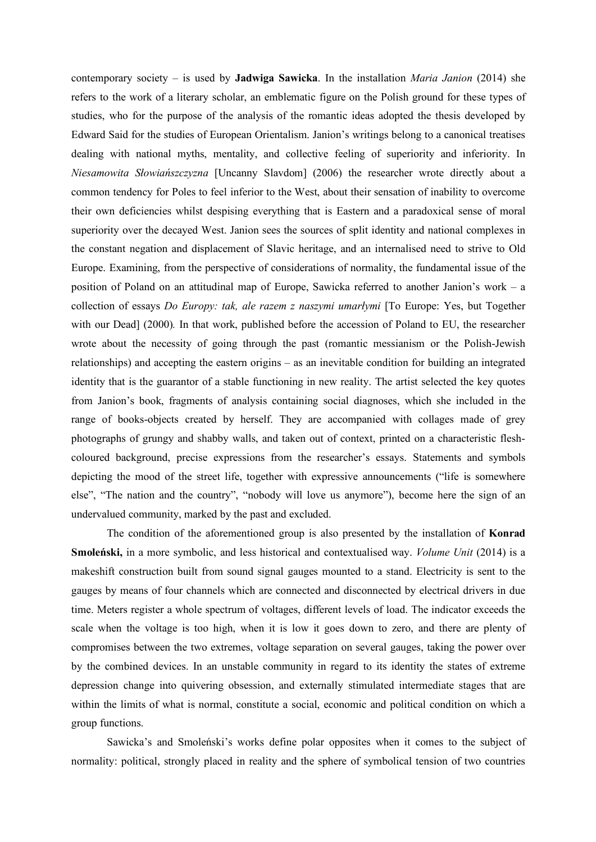contemporary society – is used by **Jadwiga Sawicka**. In the installation *Maria Janion* (2014) she refers to the work of a literary scholar, an emblematic figure on the Polish ground for these types of studies, who for the purpose of the analysis of the romantic ideas adopted the thesis developed by Edward Said for the studies of European Orientalism. Janion's writings belong to a canonical treatises dealing with national myths, mentality, and collective feeling of superiority and inferiority. In *Niesamowita Słowiańszczyzna* [Uncanny Slavdom] (2006) the researcher wrote directly about a common tendency for Poles to feel inferior to the West, about their sensation of inability to overcome their own deficiencies whilst despising everything that is Eastern and a paradoxical sense of moral superiority over the decayed West. Janion sees the sources of split identity and national complexes in the constant negation and displacement of Slavic heritage, and an internalised need to strive to Old Europe. Examining, from the perspective of considerations of normality, the fundamental issue of the position of Poland on an attitudinal map of Europe, Sawicka referred to another Janion's work – a collection of essays *Do Europy: tak, ale razem z naszymi umarłymi* [To Europe: Yes, but Together with our Dead] (2000)*.* In that work, published before the accession of Poland to EU, the researcher wrote about the necessity of going through the past (romantic messianism or the Polish-Jewish relationships) and accepting the eastern origins – as an inevitable condition for building an integrated identity that is the guarantor of a stable functioning in new reality. The artist selected the key quotes from Janion's book, fragments of analysis containing social diagnoses, which she included in the range of books-objects created by herself. They are accompanied with collages made of grey photographs of grungy and shabby walls, and taken out of context, printed on a characteristic fleshcoloured background, precise expressions from the researcher's essays. Statements and symbols depicting the mood of the street life, together with expressive announcements ("life is somewhere else", "The nation and the country", "nobody will love us anymore"), become here the sign of an undervalued community, marked by the past and excluded.

The condition of the aforementioned group is also presented by the installation of **Konrad Smoleński,** in a more symbolic, and less historical and contextualised way. *Volume Unit* (2014) is a makeshift construction built from sound signal gauges mounted to a stand. Electricity is sent to the gauges by means of four channels which are connected and disconnected by electrical drivers in due time. Meters register a whole spectrum of voltages, different levels of load. The indicator exceeds the scale when the voltage is too high, when it is low it goes down to zero, and there are plenty of compromises between the two extremes, voltage separation on several gauges, taking the power over by the combined devices. In an unstable community in regard to its identity the states of extreme depression change into quivering obsession, and externally stimulated intermediate stages that are within the limits of what is normal, constitute a social, economic and political condition on which a group functions.

Sawicka's and Smoleński's works define polar opposites when it comes to the subject of normality: political, strongly placed in reality and the sphere of symbolical tension of two countries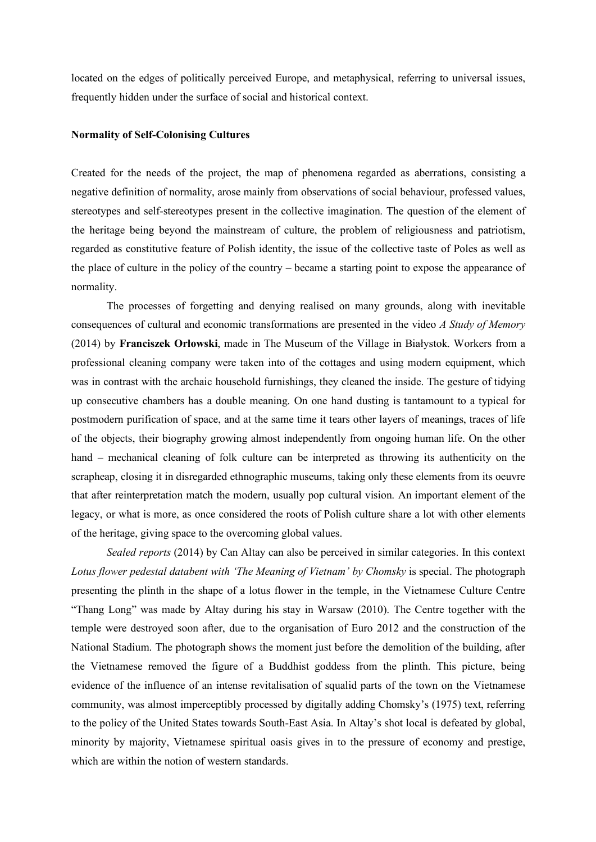located on the edges of politically perceived Europe, and metaphysical, referring to universal issues, frequently hidden under the surface of social and historical context.

## **Normality of Self-Colonising Cultures**

Created for the needs of the project, the map of phenomena regarded as aberrations, consisting a negative definition of normality, arose mainly from observations of social behaviour, professed values, stereotypes and self-stereotypes present in the collective imagination. The question of the element of the heritage being beyond the mainstream of culture, the problem of religiousness and patriotism, regarded as constitutive feature of Polish identity, the issue of the collective taste of Poles as well as the place of culture in the policy of the country – became a starting point to expose the appearance of normality.

The processes of forgetting and denying realised on many grounds, along with inevitable consequences of cultural and economic transformations are presented in the video *A Study of Memory* (2014) by **Franciszek Orłowski**, made in The Museum of the Village in Białystok. Workers from a professional cleaning company were taken into of the cottages and using modern equipment, which was in contrast with the archaic household furnishings, they cleaned the inside. The gesture of tidying up consecutive chambers has a double meaning. On one hand dusting is tantamount to a typical for postmodern purification of space, and at the same time it tears other layers of meanings, traces of life of the objects, their biography growing almost independently from ongoing human life. On the other hand – mechanical cleaning of folk culture can be interpreted as throwing its authenticity on the scrapheap, closing it in disregarded ethnographic museums, taking only these elements from its oeuvre that after reinterpretation match the modern, usually pop cultural vision. An important element of the legacy, or what is more, as once considered the roots of Polish culture share a lot with other elements of the heritage, giving space to the overcoming global values.

*Sealed reports* (2014) by Can Altay can also be perceived in similar categories. In this context *Lotus flower pedestal databent with 'The Meaning of Vietnam' by Chomsky* is special. The photograph presenting the plinth in the shape of a lotus flower in the temple, in the Vietnamese Culture Centre "Thang Long" was made by Altay during his stay in Warsaw (2010). The Centre together with the temple were destroyed soon after, due to the organisation of Euro 2012 and the construction of the National Stadium. The photograph shows the moment just before the demolition of the building, after the Vietnamese removed the figure of a Buddhist goddess from the plinth. This picture, being evidence of the influence of an intense revitalisation of squalid parts of the town on the Vietnamese community, was almost imperceptibly processed by digitally adding Chomsky's (1975) text, referring to the policy of the United States towards South-East Asia. In Altay's shot local is defeated by global, minority by majority, Vietnamese spiritual oasis gives in to the pressure of economy and prestige, which are within the notion of western standards.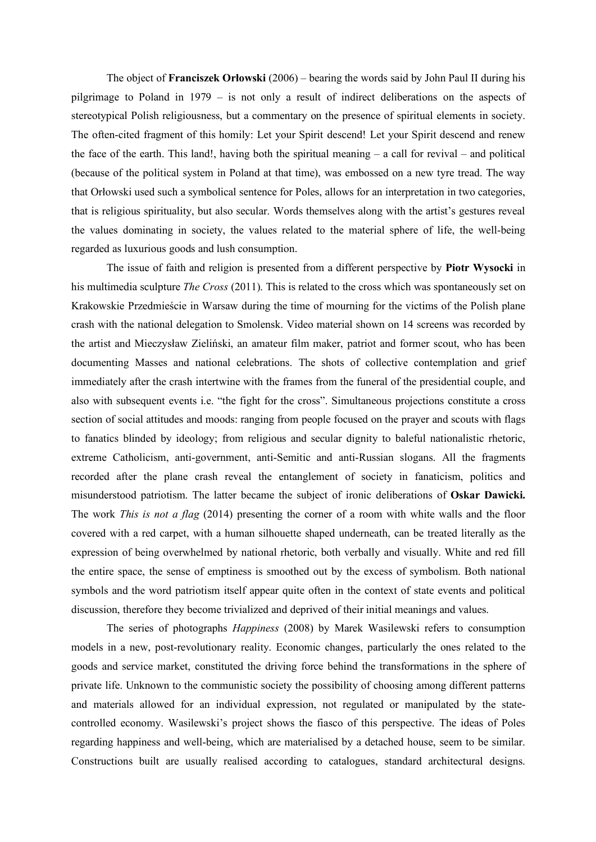The object of **Franciszek Orłowski** (2006) – bearing the words said by John Paul II during his pilgrimage to Poland in 1979 – is not only a result of indirect deliberations on the aspects of stereotypical Polish religiousness, but a commentary on the presence of spiritual elements in society. The often-cited fragment of this homily: Let your Spirit descend! Let your Spirit descend and renew the face of the earth. This land!, having both the spiritual meaning  $-$  a call for revival  $-$  and political (because of the political system in Poland at that time), was embossed on a new tyre tread. The way that Orłowski used such a symbolical sentence for Poles, allows for an interpretation in two categories, that is religious spirituality, but also secular. Words themselves along with the artist's gestures reveal the values dominating in society, the values related to the material sphere of life, the well-being regarded as luxurious goods and lush consumption.

The issue of faith and religion is presented from a different perspective by **Piotr Wysocki** in his multimedia sculpture *The Cross* (2011). This is related to the cross which was spontaneously set on Krakowskie Przedmieście in Warsaw during the time of mourning for the victims of the Polish plane crash with the national delegation to Smolensk. Video material shown on 14 screens was recorded by the artist and Mieczysław Zieliński, an amateur film maker, patriot and former scout, who has been documenting Masses and national celebrations. The shots of collective contemplation and grief immediately after the crash intertwine with the frames from the funeral of the presidential couple, and also with subsequent events i.e. "the fight for the cross". Simultaneous projections constitute a cross section of social attitudes and moods: ranging from people focused on the prayer and scouts with flags to fanatics blinded by ideology; from religious and secular dignity to baleful nationalistic rhetoric, extreme Catholicism, anti-government, anti-Semitic and anti-Russian slogans. All the fragments recorded after the plane crash reveal the entanglement of society in fanaticism, politics and misunderstood patriotism. The latter became the subject of ironic deliberations of **Oskar Dawicki.** The work *This is not a flag* (2014) presenting the corner of a room with white walls and the floor covered with a red carpet, with a human silhouette shaped underneath, can be treated literally as the expression of being overwhelmed by national rhetoric, both verbally and visually. White and red fill the entire space, the sense of emptiness is smoothed out by the excess of symbolism. Both national symbols and the word patriotism itself appear quite often in the context of state events and political discussion, therefore they become trivialized and deprived of their initial meanings and values.

The series of photographs *Happiness* (2008) by Marek Wasilewski refers to consumption models in a new, post-revolutionary reality. Economic changes, particularly the ones related to the goods and service market, constituted the driving force behind the transformations in the sphere of private life. Unknown to the communistic society the possibility of choosing among different patterns and materials allowed for an individual expression, not regulated or manipulated by the statecontrolled economy. Wasilewski's project shows the fiasco of this perspective. The ideas of Poles regarding happiness and well-being, which are materialised by a detached house, seem to be similar. Constructions built are usually realised according to catalogues, standard architectural designs.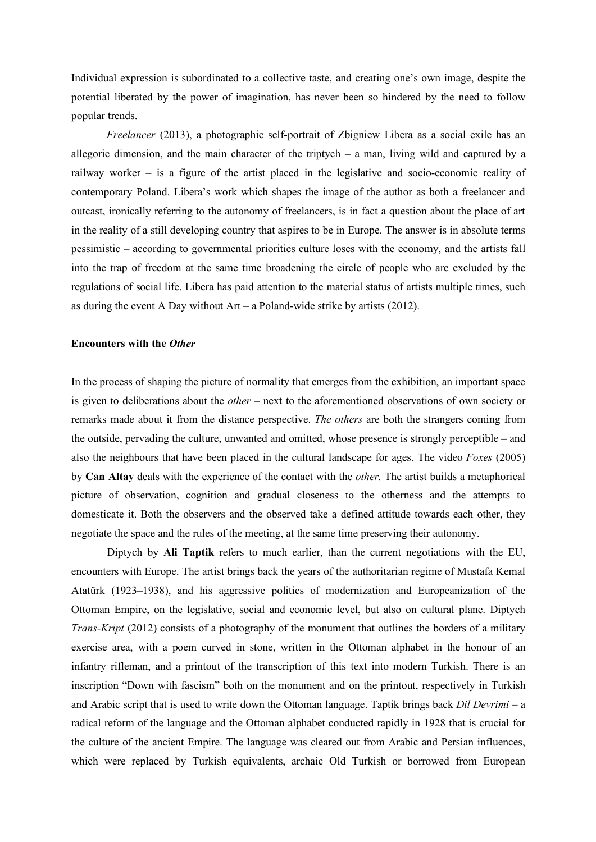Individual expression is subordinated to a collective taste, and creating one's own image, despite the potential liberated by the power of imagination, has never been so hindered by the need to follow popular trends.

*Freelancer* (2013), a photographic self-portrait of Zbigniew Libera as a social exile has an allegoric dimension, and the main character of the triptych  $-$  a man, living wild and captured by a railway worker – is a figure of the artist placed in the legislative and socio-economic reality of contemporary Poland. Libera's work which shapes the image of the author as both a freelancer and outcast, ironically referring to the autonomy of freelancers, is in fact a question about the place of art in the reality of a still developing country that aspires to be in Europe. The answer is in absolute terms pessimistic – according to governmental priorities culture loses with the economy, and the artists fall into the trap of freedom at the same time broadening the circle of people who are excluded by the regulations of social life. Libera has paid attention to the material status of artists multiple times, such as during the event A Day without  $Art - a$  Poland-wide strike by artists (2012).

# **Encounters with the** *Other*

In the process of shaping the picture of normality that emerges from the exhibition, an important space is given to deliberations about the *other –* next to the aforementioned observations of own society or remarks made about it from the distance perspective. *The others* are both the strangers coming from the outside, pervading the culture, unwanted and omitted, whose presence is strongly perceptible – and also the neighbours that have been placed in the cultural landscape for ages. The video *Foxes* (2005) by **Can Altay** deals with the experience of the contact with the *other.* The artist builds a metaphorical picture of observation, cognition and gradual closeness to the otherness and the attempts to domesticate it. Both the observers and the observed take a defined attitude towards each other, they negotiate the space and the rules of the meeting, at the same time preserving their autonomy.

Diptych by **Ali Taptik** refers to much earlier, than the current negotiations with the EU, encounters with Europe. The artist brings back the years of the authoritarian regime of Mustafa Kemal Atatürk (1923–1938), and his aggressive politics of modernization and Europeanization of the Ottoman Empire, on the legislative, social and economic level, but also on cultural plane. Diptych *Trans-Kript* (2012) consists of a photography of the monument that outlines the borders of a military exercise area, with a poem curved in stone, written in the Ottoman alphabet in the honour of an infantry rifleman, and a printout of the transcription of this text into modern Turkish. There is an inscription "Down with fascism" both on the monument and on the printout, respectively in Turkish and Arabic script that is used to write down the Ottoman language. Taptik brings back *Dil Devrimi* – a radical reform of the language and the Ottoman alphabet conducted rapidly in 1928 that is crucial for the culture of the ancient Empire. The language was cleared out from Arabic and Persian influences, which were replaced by Turkish equivalents, archaic Old Turkish or borrowed from European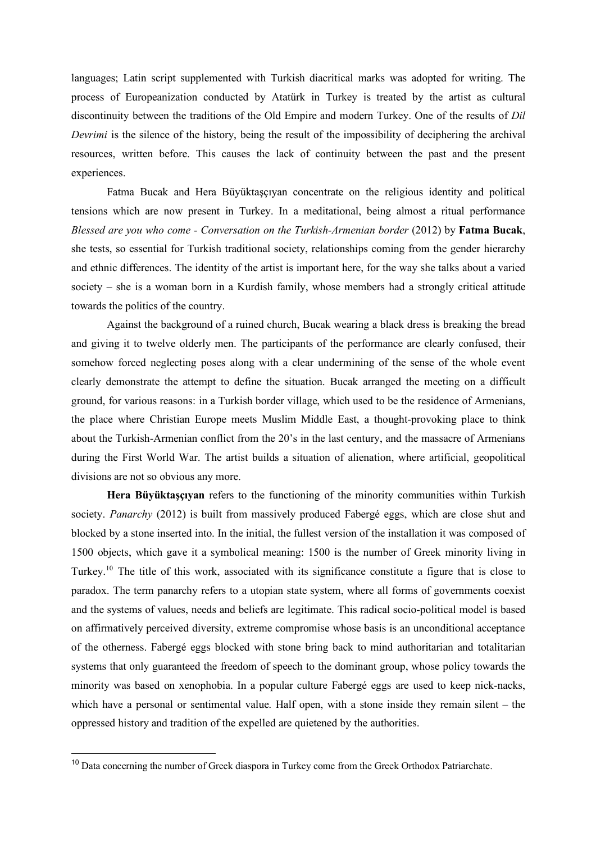languages; Latin script supplemented with Turkish diacritical marks was adopted for writing. The process of Europeanization conducted by Atatürk in Turkey is treated by the artist as cultural discontinuity between the traditions of the Old Empire and modern Turkey. One of the results of *Dil Devrimi* is the silence of the history, being the result of the impossibility of deciphering the archival resources, written before. This causes the lack of continuity between the past and the present experiences.

Fatma Bucak and Hera Büyüktaşçıyan concentrate on the religious identity and political tensions which are now present in Turkey. In a meditational, being almost a ritual performance *Blessed are you who come - Conversation on the Turkish-Armenian border* (2012) by **Fatma Bucak**, she tests, so essential for Turkish traditional society, relationships coming from the gender hierarchy and ethnic differences. The identity of the artist is important here, for the way she talks about a varied society – she is a woman born in a Kurdish family, whose members had a strongly critical attitude towards the politics of the country.

Against the background of a ruined church, Bucak wearing a black dress is breaking the bread and giving it to twelve olderly men. The participants of the performance are clearly confused, their somehow forced neglecting poses along with a clear undermining of the sense of the whole event clearly demonstrate the attempt to define the situation. Bucak arranged the meeting on a difficult ground, for various reasons: in a Turkish border village, which used to be the residence of Armenians, the place where Christian Europe meets Muslim Middle East, a thought-provoking place to think about the Turkish-Armenian conflict from the 20's in the last century, and the massacre of Armenians during the First World War. The artist builds a situation of alienation, where artificial, geopolitical divisions are not so obvious any more.

**Hera Büyüktaşçıyan** refers to the functioning of the minority communities within Turkish society. *Panarchy* (2012) is built from massively produced Fabergé eggs, which are close shut and blocked by a stone inserted into. In the initial, the fullest version of the installation it was composed of 1500 objects, which gave it a symbolical meaning: 1500 is the number of Greek minority living in Turkey.<sup>10</sup> The title of this work, associated with its significance constitute a figure that is close to paradox. The term panarchy refers to a utopian state system, where all forms of governments coexist and the systems of values, needs and beliefs are legitimate. This radical socio-political model is based on affirmatively perceived diversity, extreme compromise whose basis is an unconditional acceptance of the otherness. Fabergé eggs blocked with stone bring back to mind authoritarian and totalitarian systems that only guaranteed the freedom of speech to the dominant group, whose policy towards the minority was based on xenophobia. In a popular culture Fabergé eggs are used to keep nick-nacks, which have a personal or sentimental value. Half open, with a stone inside they remain silent – the oppressed history and tradition of the expelled are quietened by the authorities.

 $\overline{\phantom{a}}$ 

<sup>&</sup>lt;sup>10</sup> Data concerning the number of Greek diaspora in Turkey come from the Greek Orthodox Patriarchate.